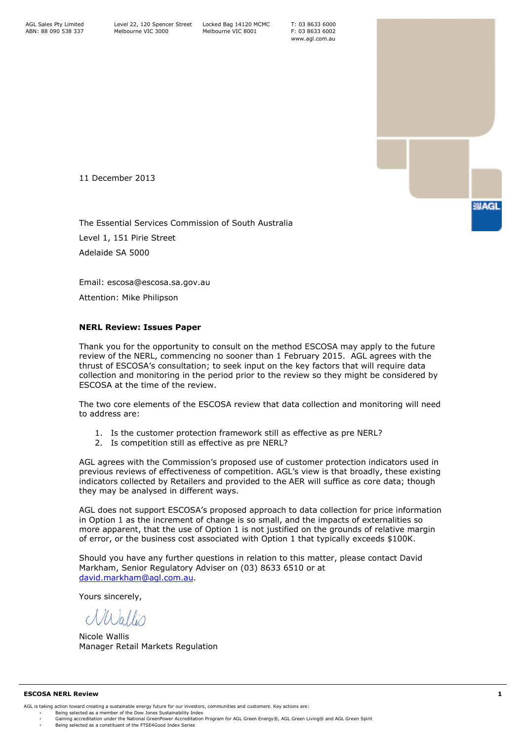T: 03 8633 6000 F: 03 8633 6002 www.agl.com.au

11 December 2013

The Essential Services Commission of South Australia Level 1, 151 Pirie Street Adelaide SA 5000

Email: escosa@escosa.sa.gov.au

Attention: Mike Philipson

# **NERL Review: Issues Paper**

Thank you for the opportunity to consult on the method ESCOSA may apply to the future review of the NERL, commencing no sooner than 1 February 2015. AGL agrees with the thrust of ESCOSA's consultation; to seek input on the key factors that will require data collection and monitoring in the period prior to the review so they might be considered by ESCOSA at the time of the review.

The two core elements of the ESCOSA review that data collection and monitoring will need to address are:

- 1. Is the customer protection framework still as effective as pre NERL?
- 2. Is competition still as effective as pre NERL?

AGL agrees with the Commission's proposed use of customer protection indicators used in previous reviews of effectiveness of competition. AGL's view is that broadly, these existing indicators collected by Retailers and provided to the AER will suffice as core data; though they may be analysed in different ways.

AGL does not support ESCOSA's proposed approach to data collection for price information in Option 1 as the increment of change is so small, and the impacts of externalities so more apparent, that the use of Option 1 is not justified on the grounds of relative margin of error, or the business cost associated with Option 1 that typically exceeds \$100K.

Should you have any further questions in relation to this matter, please contact David Markham, Senior Regulatory Adviser on (03) 8633 6510 or at [david.markham@agl.com.au.](mailto:david.markham@agl.com.au)

Yours sincerely,

Willis

Nicole Wallis Manager Retail Markets Regulation

#### **ESCOSA NERL Review 1**

- AGL is taking action toward creating a sustainable energy future for our investors, communities and customers. Key actions are:
	-

**SUAGL**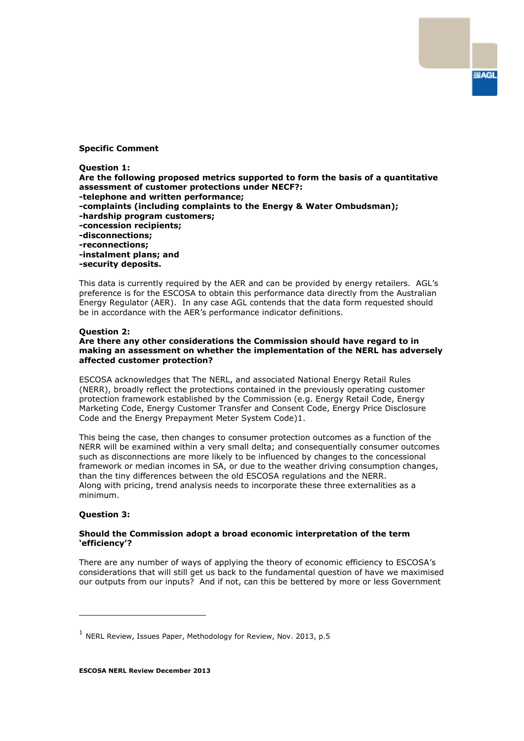### **Specific Comment**

**Question 1:** 

**Are the following proposed metrics supported to form the basis of a quantitative assessment of customer protections under NECF?: -telephone and written performance;** 

**SIAGL** 

- **-complaints (including complaints to the Energy & Water Ombudsman);**
- **-hardship program customers;**
- **-concession recipients;**
- **-disconnections;**
- **-reconnections;**
- **-instalment plans; and**
- **-security deposits.**

This data is currently required by the AER and can be provided by energy retailers. AGL's preference is for the ESCOSA to obtain this performance data directly from the Australian Energy Regulator (AER). In any case AGL contends that the data form requested should be in accordance with the AER's performance indicator definitions.

# **Question 2:**

# **Are there any other considerations the Commission should have regard to in making an assessment on whether the implementation of the NERL has adversely affected customer protection?**

ESCOSA acknowledges that The NERL, and associated National Energy Retail Rules (NERR), broadly reflect the protections contained in the previously operating customer protection framework established by the Commission (e.g. Energy Retail Code, Energy Marketing Code, Energy Customer Transfer and Consent Code, Energy Price Disclosure Code and the Energy Prepayment Meter System Code)1.

This being the case, then changes to consumer protection outcomes as a function of the NERR will be examined within a very small delta; and consequentially consumer outcomes such as disconnections are more likely to be influenced by changes to the concessional framework or median incomes in SA, or due to the weather driving consumption changes, than the tiny differences between the old ESCOSA regulations and the NERR. Along with pricing, trend analysis needs to incorporate these three externalities as a minimum.

#### **Question 3:**

ł

# **Should the Commission adopt a broad economic interpretation of the term 'efficiency'?**

There are any number of ways of applying the theory of economic efficiency to ESCOSA's considerations that will still get us back to the fundamental question of have we maximised our outputs from our inputs? And if not, can this be bettered by more or less Government

 $<sup>1</sup>$  NERL Review, Issues Paper, Methodology for Review, Nov. 2013, p.5</sup>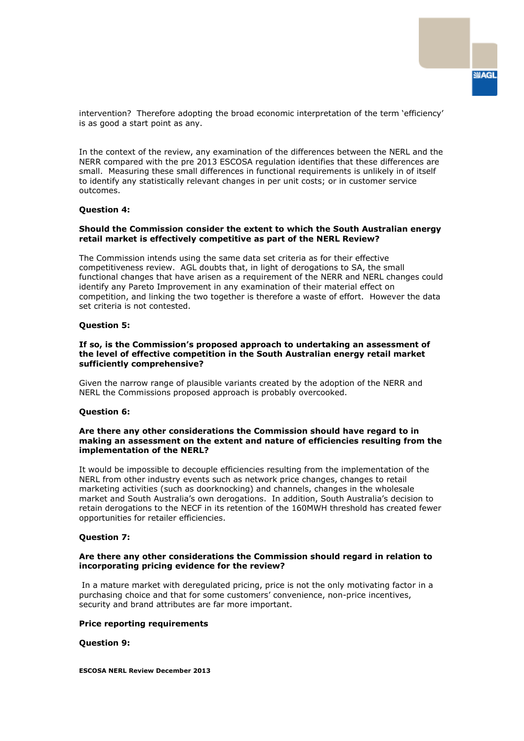intervention? Therefore adopting the broad economic interpretation of the term 'efficiency' is as good a start point as any.

In the context of the review, any examination of the differences between the NERL and the NERR compared with the pre 2013 ESCOSA regulation identifies that these differences are small. Measuring these small differences in functional requirements is unlikely in of itself to identify any statistically relevant changes in per unit costs; or in customer service outcomes.

#### **Question 4:**

### **Should the Commission consider the extent to which the South Australian energy retail market is effectively competitive as part of the NERL Review?**

The Commission intends using the same data set criteria as for their effective competitiveness review. AGL doubts that, in light of derogations to SA, the small functional changes that have arisen as a requirement of the NERR and NERL changes could identify any Pareto Improvement in any examination of their material effect on competition, and linking the two together is therefore a waste of effort. However the data set criteria is not contested.

### **Question 5:**

### **If so, is the Commission's proposed approach to undertaking an assessment of the level of effective competition in the South Australian energy retail market sufficiently comprehensive?**

Given the narrow range of plausible variants created by the adoption of the NERR and NERL the Commissions proposed approach is probably overcooked.

#### **Question 6:**

#### **Are there any other considerations the Commission should have regard to in making an assessment on the extent and nature of efficiencies resulting from the implementation of the NERL?**

It would be impossible to decouple efficiencies resulting from the implementation of the NERL from other industry events such as network price changes, changes to retail marketing activities (such as doorknocking) and channels, changes in the wholesale market and South Australia's own derogations. In addition, South Australia's decision to retain derogations to the NECF in its retention of the 160MWH threshold has created fewer opportunities for retailer efficiencies.

### **Question 7:**

### **Are there any other considerations the Commission should regard in relation to incorporating pricing evidence for the review?**

In a mature market with deregulated pricing, price is not the only motivating factor in a purchasing choice and that for some customers' convenience, non-price incentives, security and brand attributes are far more important.

#### **Price reporting requirements**

# **Question 9:**